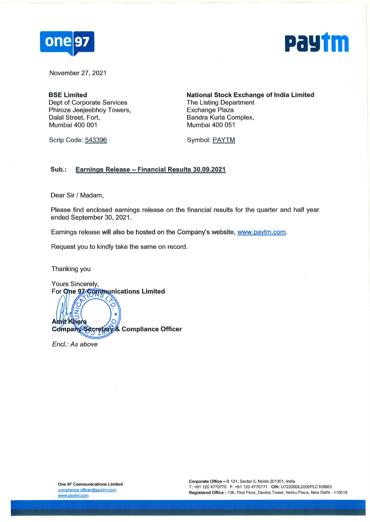



November 27, 2021

**BSE Limited**  Dept of Corporate Services Phiroze Jeejeebhoy Towers, Dalal Street, Fort, Mumbai 400 001

**National Stock Exchange of India Limited**  The Listing Department Exchange Plaza Sandra Kurla Complex, Mumbai 400 051

Scrip Code: 543396

Symbol: PAYTM

#### **Sub.: Earnings Release - Financial Results 30.09.2021**

Dear Sir/ Madam,

Please find enclosed earnings release on the financial results for the quarter and half year ended September 30, 2021.

Earnings release will also be hosted on the Company's website, www.paytm.com.

Request you to kindly take the same on record.

Thanking you

Yours Sincerely, For One 97 Communications Limited  $\frac{1}{\sqrt{2}}$ Khera **Compliance Officer**  Company/Secretary

Encl.: As above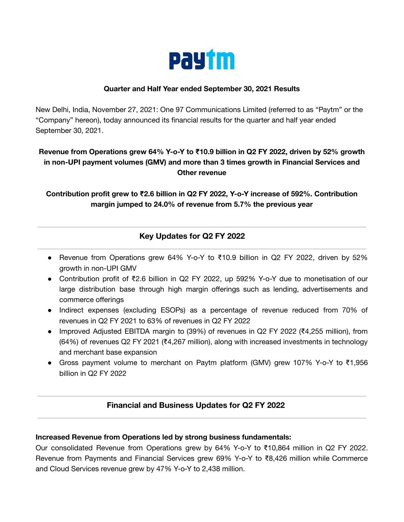

### **Quarter and Half Year ended September 30, 2021 Results**

New Delhi, India, November 27, 2021: One 97 Communications Limited (referred to as "Paytm" or the "Company" hereon), today announced its financial results for the quarter and half year ended September 30, 2021.

# **Revenue from Operations grew 64% Y-o-Y to ₹10.9 billion in Q2 FY 2022, driven by 52% growth in non-UPI payment volumes (GMV) and more than 3 times growth in Financial Services and Other revenue**

**Contribution profit grew to ₹2.6 billion in Q2 FY 2022, Y-o-Y increase of 592%. Contribution margin jumped to 24.0% of revenue from 5.7% the previous year**

# **Key Updates for Q2 FY 2022**

- Revenue from Operations grew 64% Y-o-Y to ₹10.9 billion in Q2 FY 2022, driven by 52% growth in non-UPI GMV
- Contribution profit of ₹2.6 billion in Q2 FY 2022, up 592% Y-o-Y due to monetisation of our large distribution base through high margin offerings such as lending, advertisements and commerce offerings
- Indirect expenses (excluding ESOPs) as a percentage of revenue reduced from 70% of revenues in Q2 FY 2021 to 63% of revenues in Q2 FY 2022
- Improved Adjusted EBITDA margin to (39%) of revenues in Q2 FY 2022 (₹4,255 million), from (64%) of revenues Q2 FY 2021 (₹4,267 million), along with increased investments in technology and merchant base expansion
- Gross payment volume to merchant on Paytm platform (GMV) grew 107% Y-o-Y to ₹1,956 billion in Q2 FY 2022

## **Financial and Business Updates for Q2 FY 2022**

### **Increased Revenue from Operations led by strong business fundamentals:**

Our consolidated Revenue from Operations grew by 64% Y-o-Y to ₹10,864 million in Q2 FY 2022. Revenue from Payments and Financial Services grew 69% Y-o-Y to ₹8,426 million while Commerce and Cloud Services revenue grew by 47% Y-o-Y to 2,438 million.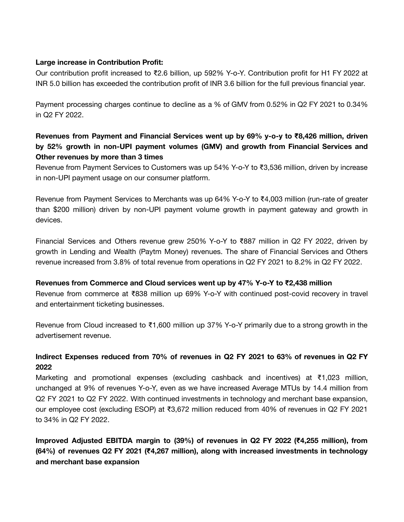### **Large increase in Contribution Profit:**

Our contribution profit increased to ₹2.6 billion, up 592% Y-o-Y. Contribution profit for H1 FY 2022 at INR 5.0 billion has exceeded the contribution profit of INR 3.6 billion for the full previous financial year.

Payment processing charges continue to decline as a % of GMV from 0.52% in Q2 FY 2021 to 0.34% in Q2 FY 2022.

# **Revenues from Payment and Financial Services went up by 69% y-o-y to ₹8,426 million, driven by 52% growth in non-UPI payment volumes (GMV) and growth from Financial Services and Other revenues by more than 3 times**

Revenue from Payment Services to Customers was up 54% Y-o-Y to ₹3,536 million, driven by increase in non-UPI payment usage on our consumer platform.

Revenue from Payment Services to Merchants was up 64% Y-o-Y to ₹4,003 million (run-rate of greater than \$200 million) driven by non-UPI payment volume growth in payment gateway and growth in devices.

Financial Services and Others revenue grew 250% Y-o-Y to ₹887 million in Q2 FY 2022, driven by growth in Lending and Wealth (Paytm Money) revenues. The share of Financial Services and Others revenue increased from 3.8% of total revenue from operations in Q2 FY 2021 to 8.2% in Q2 FY 2022.

### **Revenues from Commerce and Cloud services went up by 47% Y-o-Y to ₹2,438 million**

Revenue from commerce at ₹838 million up 69% Y-o-Y with continued post-covid recovery in travel and entertainment ticketing businesses.

Revenue from Cloud increased to ₹1,600 million up 37% Y-o-Y primarily due to a strong growth in the advertisement revenue.

## **Indirect Expenses reduced from 70% of revenues in Q2 FY 2021 to 63% of revenues in Q2 FY 2022**

Marketing and promotional expenses (excluding cashback and incentives) at ₹1,023 million, unchanged at 9% of revenues Y-o-Y, even as we have increased Average MTUs by 14.4 million from Q2 FY 2021 to Q2 FY 2022. With continued investments in technology and merchant base expansion, our employee cost (excluding ESOP) at ₹3,672 million reduced from 40% of revenues in Q2 FY 2021 to 34% in Q2 FY 2022.

**Improved Adjusted EBITDA margin to (39%) of revenues in Q2 FY 2022 (₹4,255 million), from (64%) of revenues Q2 FY 2021 (₹4,267 million), along with increased investments in technology and merchant base expansion**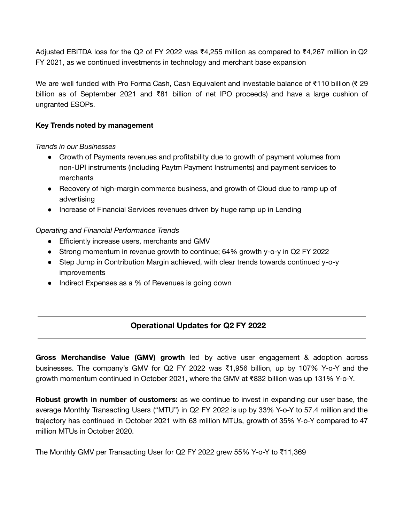Adjusted EBITDA loss for the Q2 of FY 2022 was ₹4,255 million as compared to ₹4,267 million in Q2 FY 2021, as we continued investments in technology and merchant base expansion

We are well funded with Pro Forma Cash, Cash Equivalent and investable balance of ₹110 billion (₹ 29 billion as of September 2021 and ₹81 billion of net IPO proceeds) and have a large cushion of ungranted ESOPs.

## **Key Trends noted by management**

*Trends in our Businesses*

- Growth of Payments revenues and profitability due to growth of payment volumes from non-UPI instruments (including Paytm Payment Instruments) and payment services to merchants
- Recovery of high-margin commerce business, and growth of Cloud due to ramp up of advertising
- Increase of Financial Services revenues driven by huge ramp up in Lending

## *Operating and Financial Performance Trends*

- Efficiently increase users, merchants and GMV
- Strong momentum in revenue growth to continue; 64% growth y-o-y in Q2 FY 2022
- Step Jump in Contribution Margin achieved, with clear trends towards continued y-o-y improvements
- Indirect Expenses as a % of Revenues is going down

# **Operational Updates for Q2 FY 2022**

**Gross Merchandise Value (GMV) growth** led by active user engagement & adoption across businesses. The company's GMV for Q2 FY 2022 was ₹1,956 billion, up by 107% Y-o-Y and the growth momentum continued in October 2021, where the GMV at ₹832 billion was up 131% Y-o-Y.

**Robust growth in number of customers:** as we continue to invest in expanding our user base, the average Monthly Transacting Users ("MTU") in Q2 FY 2022 is up by 33% Y-o-Y to 57.4 million and the trajectory has continued in October 2021 with 63 million MTUs, growth of 35% Y-o-Y compared to 47 million MTUs in October 2020.

The Monthly GMV per Transacting User for Q2 FY 2022 grew 55% Y-o-Y to ₹11,369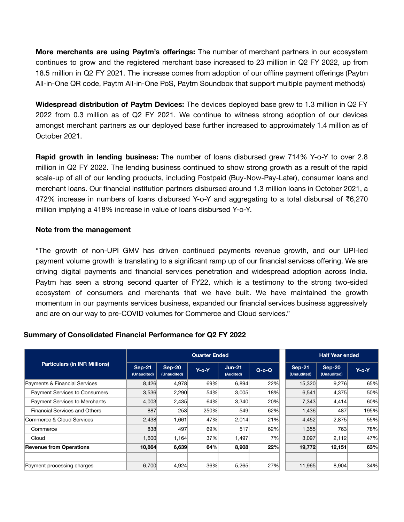**More merchants are using Paytm's offerings:** The number of merchant partners in our ecosystem continues to grow and the registered merchant base increased to 23 million in Q2 FY 2022, up from 18.5 million in Q2 FY 2021. The increase comes from adoption of our offline payment offerings (Paytm All-in-One QR code, Paytm All-in-One PoS, Paytm Soundbox that support multiple payment methods)

**Widespread distribution of Paytm Devices:** The devices deployed base grew to 1.3 million in Q2 FY 2022 from 0.3 million as of Q2 FY 2021. We continue to witness strong adoption of our devices amongst merchant partners as our deployed base further increased to approximately 1.4 million as of October 2021.

**Rapid growth in lending business:** The number of loans disbursed grew 714% Y-o-Y to over 2.8 million in Q2 FY 2022. The lending business continued to show strong growth as a result of the rapid scale-up of all of our lending products, including Postpaid (Buy-Now-Pay-Later), consumer loans and merchant loans. Our financial institution partners disbursed around 1.3 million loans in October 2021, a 472% increase in numbers of loans disbursed Y-o-Y and aggregating to a total disbursal of ₹6,270 million implying a 418% increase in value of loans disbursed Y-o-Y.

#### **Note from the management**

"The growth of non-UPI GMV has driven continued payments revenue growth, and our UPI-led payment volume growth is translating to a significant ramp up of our financial services offering. We are driving digital payments and financial services penetration and widespread adoption across India. Paytm has seen a strong second quarter of FY22, which is a testimony to the strong two-sided ecosystem of consumers and merchants that we have built. We have maintained the growth momentum in our payments services business, expanded our financial services business aggressively and are on our way to pre-COVID volumes for Commerce and Cloud services."

### **Summary of Consolidated Financial Performance for Q2 FY 2022**

|                                      |                         |                       | <b>Quarter Ended</b> | <b>Half Year ended</b> |         |                              |                         |          |
|--------------------------------------|-------------------------|-----------------------|----------------------|------------------------|---------|------------------------------|-------------------------|----------|
| <b>Particulars (in INR Millions)</b> | $Sep-21$<br>(Unaudited) | Sep-20<br>(Unaudited) | $Y$ -o-Y             | $Jun-21$<br>(Audited)  | $Q-O-Q$ | <b>Sep-21</b><br>(Unaudited) | $Sep-20$<br>(Unaudited) | $Y$ -o-Y |
| Payments & Financial Services        | 8,426                   | 4,978                 | 69%                  | 6,894                  | 22%     | 15,320                       | 9,276                   | 65%      |
| Payment Services to Consumers        | 3,536                   | 2,290                 | 54%                  | 3,005                  | 18%     | 6,541                        | 4,375                   | 50%      |
| <b>Payment Services to Merchants</b> | 4,003                   | 2,435                 | 64%                  | 3,340                  | 20%     | 7,343                        | 4,414                   | 60%      |
| <b>Financial Services and Others</b> | 887                     | 253                   | 250%                 | 549                    | 62%     | 1,436                        | 487                     | 195%     |
| Commerce & Cloud Services            | 2,438                   | 1,661                 | 47%                  | 2,014                  | 21%     | 4,452                        | 2,875                   | 55%      |
| Commerce                             | 838                     | 497                   | 69%                  | 517                    | 62%     | 1,355                        | 763                     | 78%      |
| Cloud                                | 1,600                   | 1,164                 | 37%                  | 1,497                  | 7%      | 3,097                        | 2,112                   | 47%      |
| <b>Revenue from Operations</b>       | 10,864                  | 6,639                 | 64%                  | 8,908                  | 22%     | 19,772                       | 12,151                  | 63%      |
|                                      |                         |                       |                      |                        |         |                              |                         |          |
| Payment processing charges           | 6,700                   | 4,924                 | 36%                  | 5,265                  | 27%     | 11,965                       | 8,904                   | 34%      |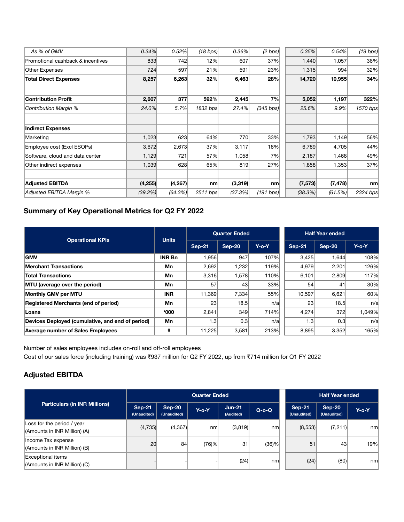| 0.52%      |                                                                                                              | 0.36% | $(2 \text{ bps})$                                                                         |                                                                               | 0.54%    | (19 bps)                                                                                                       |
|------------|--------------------------------------------------------------------------------------------------------------|-------|-------------------------------------------------------------------------------------------|-------------------------------------------------------------------------------|----------|----------------------------------------------------------------------------------------------------------------|
| 742        |                                                                                                              | 607   | 37%                                                                                       |                                                                               | 1,057    | 36%                                                                                                            |
| 597        |                                                                                                              | 591   | 23%                                                                                       |                                                                               | 994      | 32%                                                                                                            |
| 6,263      |                                                                                                              |       | 28%                                                                                       |                                                                               | 10,955   | 34%                                                                                                            |
|            |                                                                                                              |       |                                                                                           |                                                                               |          |                                                                                                                |
| 377        |                                                                                                              |       | 7%                                                                                        |                                                                               | 1,197    | 322%                                                                                                           |
| 5.7%       |                                                                                                              |       | (345 bps)                                                                                 |                                                                               | 9.9%     | 1570 bps                                                                                                       |
|            |                                                                                                              |       |                                                                                           |                                                                               |          |                                                                                                                |
|            |                                                                                                              |       |                                                                                           |                                                                               |          |                                                                                                                |
| 623        |                                                                                                              |       | 33%                                                                                       |                                                                               | 1,149    | 56%                                                                                                            |
|            |                                                                                                              |       | 18%                                                                                       |                                                                               | 4,705    | 44%                                                                                                            |
| 721        |                                                                                                              |       | 7%                                                                                        |                                                                               | 1,468    | 49%                                                                                                            |
| 628        |                                                                                                              |       | 27%                                                                                       |                                                                               | 1,353    | 37%                                                                                                            |
|            |                                                                                                              |       |                                                                                           |                                                                               |          |                                                                                                                |
| (4, 267)   | nm                                                                                                           |       | nm                                                                                        |                                                                               | (7, 478) | n m                                                                                                            |
| $(64.3\%)$ |                                                                                                              |       | (191 bps)                                                                                 |                                                                               | (61.5%)  | 2324 bps                                                                                                       |
|            | 0.34%<br>833<br>724<br>8,257<br>2,607<br>24.0%<br>1,023<br>3,672<br>1,129<br>1,039<br>(4, 255)<br>$(39.2\%)$ | 2,673 | (18 bps)<br>12%<br>21%<br>32%<br>592%<br>1832 bps<br>64%<br>37%<br>57%<br>65%<br>2511 bps | 6,463<br>2,445<br>27.4%<br>770<br>3,117<br>1,058<br>819<br>(3,319)<br>(37.3%) |          | 0.35%<br>1,440<br>1,315<br>14,720<br>5,052<br>25.6%<br>1,793<br>6,789<br>2,187<br>1,858<br>(7, 573)<br>(38.3%) |

## **Summary of Key Operational Metrics for Q2 FY 2022**

| <b>Operational KPIs</b>                          | <b>Units</b>  |               | <b>Quarter Ended</b> |          | <b>Half Year ended</b> |               |          |
|--------------------------------------------------|---------------|---------------|----------------------|----------|------------------------|---------------|----------|
|                                                  |               | <b>Sep-21</b> | Sep-20               | $Y$ -o-Y | $Sep-21$               | <b>Sep-20</b> | $Y$ -o-Y |
| <b>GMV</b>                                       | <b>INR Bn</b> | 1,956         | 947                  | 107%     | 3,425                  | 1.644         | 108%     |
| <b>Merchant Transactions</b>                     | Mn            | 2,692         | 1,232                | 119%     | 4.979                  | 2,201         | 126%     |
| <b>Total Transactions</b>                        | Mn            | 3,316         | 1,578                | 110%     | 6,101                  | 2,809         | 117%     |
| MTU (average over the period)                    | Mn            | 57            | 43                   | 33%      | 54                     | 41            | 30%      |
| Monthly GMV per MTU                              | <b>INR</b>    | 11,369        | 7,334                | 55%      | 10,597                 | 6,621         | 60%      |
| Registered Merchants (end of period)             | Mn            | 23            | 18.5                 | n/a      | 23                     | 18.5          | n/a      |
| <b>Loans</b>                                     | <b>'000</b>   | 2,841         | 349                  | 714%     | 4,274                  | 372           | 1,049%   |
| Devices Deployed (cumulative, and end of period) | Mn            | 1.3           | 0.3 <sub>l</sub>     | n/a      | 1.3                    | 0.3           | n/a      |
| <b>Average number of Sales Employees</b>         | #             | 11,225        | 3,581                | 213%     | 8.895                  | 3,352         | 165%     |

Number of sales employees includes on-roll and off-roll employees Cost of our sales force (including training) was ₹937 million for Q2 FY 2022, up from ₹714 million for Q1 FY 2022

## **Adjusted EBITDA**

|                                                            |                              |                                  | <b>Quarter Ended</b> | <b>Half Year ended</b> |         |                              |                       |          |
|------------------------------------------------------------|------------------------------|----------------------------------|----------------------|------------------------|---------|------------------------------|-----------------------|----------|
| <b>Particulars (in INR Millions)</b>                       | <b>Sep-21</b><br>(Unaudited) | $\textsf{Sep-}20$<br>(Unaudited) | $Y$ -o-Y             | $Jun-21$<br>(Audited)  | $Q-O-Q$ | <b>Sep-21</b><br>(Unaudited) | Sep-20<br>(Unaudited) | $Y$ -o-Y |
| Loss for the period / year<br>(Amounts in INR Million) (A) | (4,735)                      | (4,367)                          | nml                  | (3,819)                | nml     | (8,553)                      | (7,211)               | nml      |
| Income Tax expense<br>(Amounts in INR Million) (B)         | 20 <sup>°</sup>              | 84                               | (76)%                | 31                     | (36)%   | 51                           | 43                    | 19%      |
| Exceptional items<br>(Amounts in INR Million) (C)          |                              |                                  |                      | (24)                   | nml     | (24)                         | (80)                  | nml      |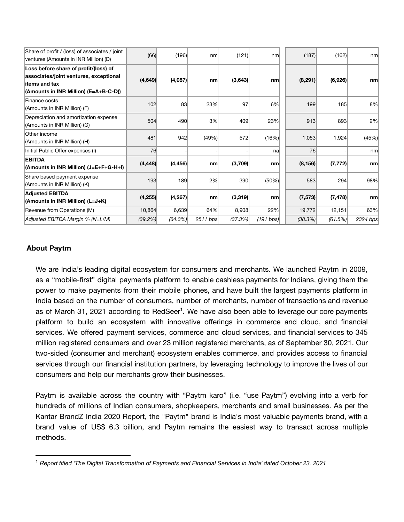| Share of profit / (loss) of associates / joint<br>ventures (Amounts in INR Million) (D)                                                    | (66)       | (196)      | nm       | (121)   | nml       | (187)    | (162)    | nm       |
|--------------------------------------------------------------------------------------------------------------------------------------------|------------|------------|----------|---------|-----------|----------|----------|----------|
| Loss before share of profit/(loss) of<br>associates/joint ventures, exceptional<br>litems and tax<br>(Amounts in INR Million) (E=A+B-C-D)) | (4,649)    | (4,087)    | n m      | (3,643) | nm        | (8, 291) | (6,926)  | nm       |
| Finance costs<br>(Amounts in INR Million) (F)                                                                                              | 102        | 83         | 23%      | 97      | 6%        | 199      | 185      | 8%       |
| Depreciation and amortization expense<br>(Amounts in INR Million) (G)                                                                      | 504        | 490        | 3%       | 409     | 23%       | 913      | 893      | 2%       |
| Other income<br>(Amounts in INR Million) (H)                                                                                               | 481        | 942        | (49%)    | 572     | (16%)     | 1,053    | 1,924    | (45%)    |
| Initial Public Offer expenses (I)                                                                                                          | 76         |            |          |         | nal       | 76       |          | nm       |
| <b>EBITDA</b><br>(Amounts in INR Million) (J=E+F+G-H+I)                                                                                    | (4, 448)   | (4, 456)   | n m      | (3,709) | nm        | (8, 156) | (7, 772) | n m      |
| Share based payment expense<br>(Amounts in INR Million) (K)                                                                                | 193        | 189        | 2%       | 390     | (50%)     | 583      | 294      | 98%      |
| <b>Adjusted EBITDA</b><br>(Amounts in INR Million) (L=J+K)                                                                                 | (4, 255)   | (4, 267)   | nm       | (3,319) | nm        | (7, 573) | (7, 478) | nm       |
| Revenue from Operations (M)                                                                                                                | 10,864     | 6,639      | 64%      | 8,908   | 22%       | 19,772   | 12,151   | 63%      |
| Adjusted EBITDA Margin % (N=L/M)                                                                                                           | $(39.2\%)$ | $(64.3\%)$ | 2511 bps | (37.3%) | (191 bps) | (38.3%)  | (61.5%)  | 2324 bps |

## **About Paytm**

We are India's leading digital ecosystem for consumers and merchants. We launched Paytm in 2009, as a "mobile-first" digital payments platform to enable cashless payments for Indians, giving them the power to make payments from their mobile phones, and have built the largest payments platform in India based on the number of consumers, number of merchants, number of transactions and revenue as of March 31, 2021 according to RedSeer<sup>1</sup>. We have also been able to leverage our core payments platform to build an ecosystem with innovative offerings in commerce and cloud, and financial services. We offered payment services, commerce and cloud services, and financial services to 345 million registered consumers and over 23 million registered merchants, as of September 30, 2021. Our two-sided (consumer and merchant) ecosystem enables commerce, and provides access to financial services through our financial institution partners, by leveraging technology to improve the lives of our consumers and help our merchants grow their businesses.

Paytm is available across the country with "Paytm karo" (i.e. "use Paytm") evolving into a verb for hundreds of millions of Indian consumers, shopkeepers, merchants and small businesses. As per the Kantar BrandZ India 2020 Report, the "Paytm" brand is India's most valuable payments brand, with a brand value of US\$ 6.3 billion, and Paytm remains the easiest way to transact across multiple methods.

<sup>1</sup> *Report titled 'The Digital Transformation of Payments and Financial Services in India' dated October 23, 2021*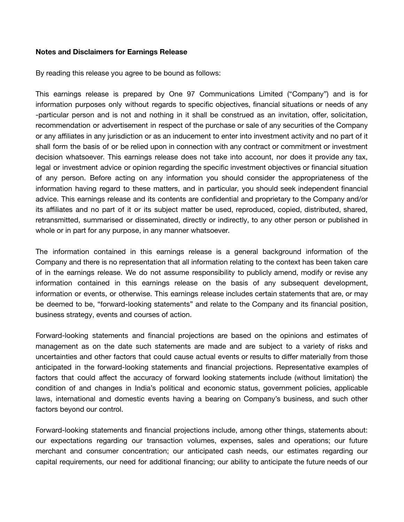#### **Notes and Disclaimers for Earnings Release**

By reading this release you agree to be bound as follows:

This earnings release is prepared by One 97 Communications Limited ("Company") and is for information purposes only without regards to specific objectives, financial situations or needs of any -particular person and is not and nothing in it shall be construed as an invitation, offer, solicitation, recommendation or advertisement in respect of the purchase or sale of any securities of the Company or any affiliates in any jurisdiction or as an inducement to enter into investment activity and no part of it shall form the basis of or be relied upon in connection with any contract or commitment or investment decision whatsoever. This earnings release does not take into account, nor does it provide any tax, legal or investment advice or opinion regarding the specific investment objectives or financial situation of any person. Before acting on any information you should consider the appropriateness of the information having regard to these matters, and in particular, you should seek independent financial advice. This earnings release and its contents are confidential and proprietary to the Company and/or its affiliates and no part of it or its subject matter be used, reproduced, copied, distributed, shared, retransmitted, summarised or disseminated, directly or indirectly, to any other person or published in whole or in part for any purpose, in any manner whatsoever.

The information contained in this earnings release is a general background information of the Company and there is no representation that all information relating to the context has been taken care of in the earnings release. We do not assume responsibility to publicly amend, modify or revise any information contained in this earnings release on the basis of any subsequent development, information or events, or otherwise. This earnings release includes certain statements that are, or may be deemed to be, "forward-looking statements" and relate to the Company and its financial position, business strategy, events and courses of action.

Forward-looking statements and financial projections are based on the opinions and estimates of management as on the date such statements are made and are subject to a variety of risks and uncertainties and other factors that could cause actual events or results to differ materially from those anticipated in the forward-looking statements and financial projections. Representative examples of factors that could affect the accuracy of forward looking statements include (without limitation) the condition of and changes in India's political and economic status, government policies, applicable laws, international and domestic events having a bearing on Company's business, and such other factors beyond our control.

Forward-looking statements and financial projections include, among other things, statements about: our expectations regarding our transaction volumes, expenses, sales and operations; our future merchant and consumer concentration; our anticipated cash needs, our estimates regarding our capital requirements, our need for additional financing; our ability to anticipate the future needs of our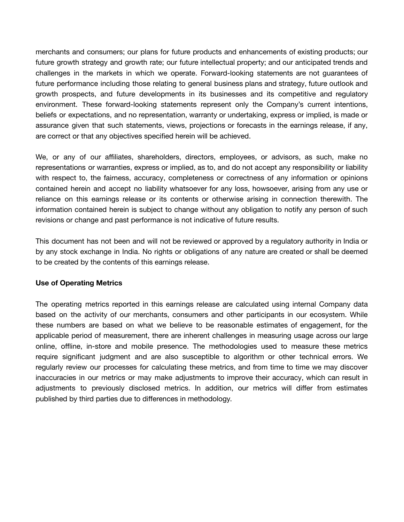merchants and consumers; our plans for future products and enhancements of existing products; our future growth strategy and growth rate; our future intellectual property; and our anticipated trends and challenges in the markets in which we operate. Forward-looking statements are not guarantees of future performance including those relating to general business plans and strategy, future outlook and growth prospects, and future developments in its businesses and its competitive and regulatory environment. These forward-looking statements represent only the Company's current intentions, beliefs or expectations, and no representation, warranty or undertaking, express or implied, is made or assurance given that such statements, views, projections or forecasts in the earnings release, if any, are correct or that any objectives specified herein will be achieved.

We, or any of our affiliates, shareholders, directors, employees, or advisors, as such, make no representations or warranties, express or implied, as to, and do not accept any responsibility or liability with respect to, the fairness, accuracy, completeness or correctness of any information or opinions contained herein and accept no liability whatsoever for any loss, howsoever, arising from any use or reliance on this earnings release or its contents or otherwise arising in connection therewith. The information contained herein is subject to change without any obligation to notify any person of such revisions or change and past performance is not indicative of future results.

This document has not been and will not be reviewed or approved by a regulatory authority in India or by any stock exchange in India. No rights or obligations of any nature are created or shall be deemed to be created by the contents of this earnings release.

### **Use of Operating Metrics**

The operating metrics reported in this earnings release are calculated using internal Company data based on the activity of our merchants, consumers and other participants in our ecosystem. While these numbers are based on what we believe to be reasonable estimates of engagement, for the applicable period of measurement, there are inherent challenges in measuring usage across our large online, offline, in-store and mobile presence. The methodologies used to measure these metrics require significant judgment and are also susceptible to algorithm or other technical errors. We regularly review our processes for calculating these metrics, and from time to time we may discover inaccuracies in our metrics or may make adjustments to improve their accuracy, which can result in adjustments to previously disclosed metrics. In addition, our metrics will differ from estimates published by third parties due to differences in methodology.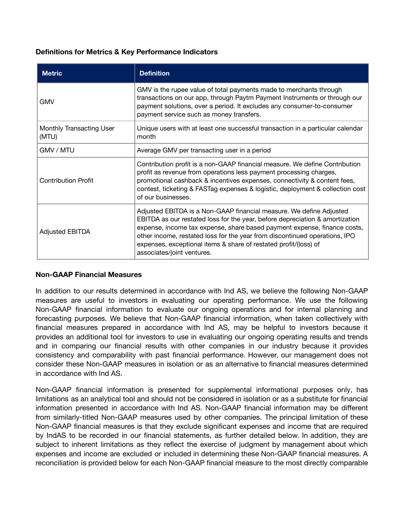### **Definitions for Metrics & Key Performance Indicators**

| <b>Metric</b>                     | <b>Definition</b>                                                                                                                                                                                                                                                                                                                                                                                               |
|-----------------------------------|-----------------------------------------------------------------------------------------------------------------------------------------------------------------------------------------------------------------------------------------------------------------------------------------------------------------------------------------------------------------------------------------------------------------|
| <b>GMV</b>                        | GMV is the rupee value of total payments made to merchants through<br>transactions on our app, through Paytm Payment Instruments or through our<br>payment solutions, over a period. It excludes any consumer-to-consumer<br>payment service such as money transfers.                                                                                                                                           |
| Monthly Transacting User<br>(MTU) | Unique users with at least one successful transaction in a particular calendar<br>month                                                                                                                                                                                                                                                                                                                         |
| GMV / MTU                         | Average GMV per transacting user in a period                                                                                                                                                                                                                                                                                                                                                                    |
| <b>Contribution Profit</b>        | Contribution profit is a non-GAAP financial measure. We define Contribution<br>profit as revenue from operations less payment processing charges,<br>promotional cashback & incentives expenses, connectivity & content fees,<br>contest, ticketing & FASTag expenses & logistic, deployment & collection cost<br>of our businesses.                                                                            |
| <b>Adjusted EBITDA</b>            | Adjusted EBITDA is a Non-GAAP financial measure. We define Adjusted<br>EBITDA as our restated loss for the year, before depreciation & amortization<br>expense, income tax expense, share based payment expense, finance costs,<br>other income, restated loss for the year from discontinued operations, IPO<br>expenses, exceptional items & share of restated profit/(loss) of<br>associates/joint ventures. |

### **Non-GAAP Financial Measures**

In addition to our results determined in accordance with Ind AS, we believe the following Non-GAAP measures are useful to investors in evaluating our operating performance. We use the following Non-GAAP financial information to evaluate our ongoing operations and for internal planning and forecasting purposes. We believe that Non-GAAP financial information, when taken collectively with financial measures prepared in accordance with Ind AS, may be helpful to investors because it provides an additional tool for investors to use in evaluating our ongoing operating results and trends and in comparing our financial results with other companies in our industry because it provides consistency and comparability with past financial performance. However, our management does not consider these Non-GAAP measures in isolation or as an alternative to financial measures determined in accordance with Ind AS.

Non-GAAP financial information is presented for supplemental informational purposes only, has limitations as an analytical tool and should not be considered in isolation or as a substitute for financial information presented in accordance with Ind AS. Non-GAAP financial information may be different from similarly-titled Non-GAAP measures used by other companies. The principal limitation of these Non-GAAP financial measures is that they exclude significant expenses and income that are required by IndAS to be recorded in our financial statements, as further detailed below. In addition, they are subject to inherent limitations as they reflect the exercise of judgment by management about which expenses and income are excluded or included in determining these Non-GAAP financial measures. A reconciliation is provided below for each Non-GAAP financial measure to the most directly comparable